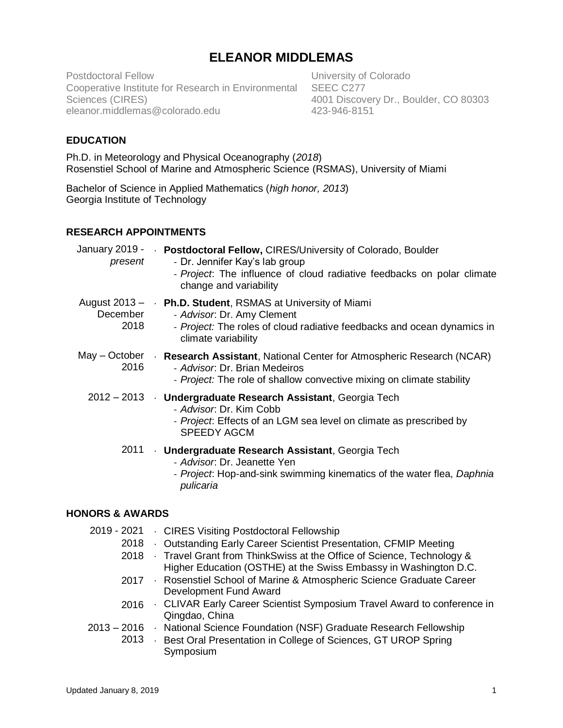# **ELEANOR MIDDLEMAS**

Postdoctoral Fellow Cooperative Institute for Research in Environmental Sciences (CIRES) eleanor.middlemas@colorado.edu

University of Colorado SEEC C277 4001 Discovery Dr., Boulder, CO 80303 423-946-8151

# **EDUCATION**

Ph.D. in Meteorology and Physical Oceanography (*2018*) Rosenstiel School of Marine and Atmospheric Science (RSMAS), University of Miami

Bachelor of Science in Applied Mathematics (*high honor, 2013*) Georgia Institute of Technology

#### **RESEARCH APPOINTMENTS**

| January 2019 -<br>present         | Postdoctoral Fellow, CIRES/University of Colorado, Boulder<br>- Dr. Jennifer Kay's lab group<br>- Project. The influence of cloud radiative feedbacks on polar climate<br>change and variability          |
|-----------------------------------|-----------------------------------------------------------------------------------------------------------------------------------------------------------------------------------------------------------|
| August 2013 -<br>December<br>2018 | Ph.D. Student, RSMAS at University of Miami<br>- Advisor. Dr. Amy Clement<br>- Project: The roles of cloud radiative feedbacks and ocean dynamics in<br>climate variability                               |
| May - October<br>2016             | Research Assistant, National Center for Atmospheric Research (NCAR)<br>- Advisor: Dr. Brian Medeiros<br>- Project: The role of shallow convective mixing on climate stability                             |
| $2012 - 2013$                     | · Undergraduate Research Assistant, Georgia Tech<br>- Advisor. Dr. Kim Cobb<br>- Project. Effects of an LGM sea level on climate as prescribed by<br><b>SPEEDY AGCM</b>                                   |
| 2011                              | · Undergraduate Research Assistant, Georgia Tech<br>- Advisor. Dr. Jeanette Yen<br>- Project. Hop-and-sink swimming kinematics of the water flea, Daphnia<br>pulicaria                                    |
| <b>HONORS &amp; AWARDS</b>        |                                                                                                                                                                                                           |
|                                   | 2019 - 2021 • CIRES Visiting Postdoctoral Fellowship                                                                                                                                                      |
| 2018<br>2018                      | Outstanding Early Career Scientist Presentation, CFMIP Meeting<br>Travel Grant from ThinkSwiss at the Office of Science, Technology &<br>Higher Education (OSTHE) at the Swiss Embassy in Washington D.C. |
| $2017 -$                          | Rosenstiel School of Marine & Atmospheric Science Graduate Career<br>Development Fund Award                                                                                                               |
| 2016                              | CLIVAR Early Career Scientist Symposium Travel Award to conference in<br>Qingdao, China                                                                                                                   |
| $2013 - 2016$<br>2013             | National Science Foundation (NSF) Graduate Research Fellowship<br>Best Oral Presentation in College of Sciences, GT UROP Spring<br>Symposium                                                              |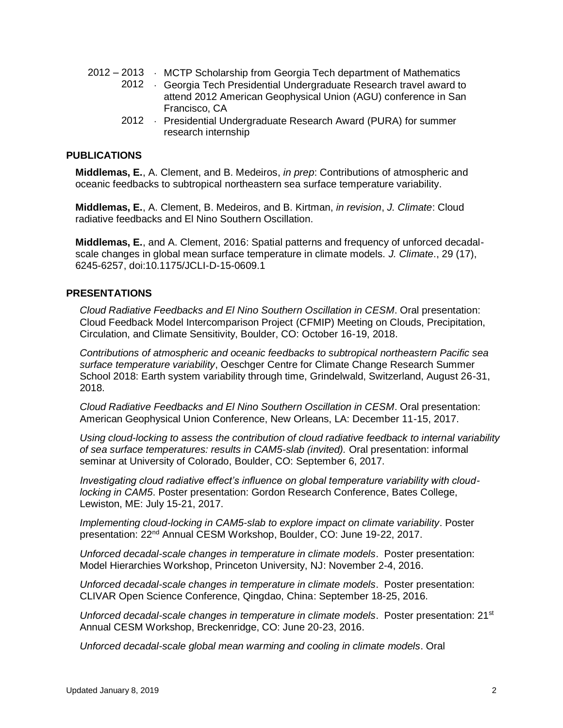- 2012 2013 MCTP Scholarship from Georgia Tech department of Mathematics
	- 2012 Georgia Tech Presidential Undergraduate Research travel award to attend 2012 American Geophysical Union (AGU) conference in San Francisco, CA
	- 2012 Presidential Undergraduate Research Award (PURA) for summer research internship

#### **PUBLICATIONS**

**Middlemas, E.**, A. Clement, and B. Medeiros, *in prep*: Contributions of atmospheric and oceanic feedbacks to subtropical northeastern sea surface temperature variability.

**Middlemas, E.**, A. Clement, B. Medeiros, and B. Kirtman, *in revision*, *J. Climate*: Cloud radiative feedbacks and El Nino Southern Oscillation.

**Middlemas, E.**, and A. Clement, 2016: Spatial patterns and frequency of unforced decadalscale changes in global mean surface temperature in climate models. *J. Climate*., 29 (17), 6245-6257, doi:10.1175/JCLI-D-15-0609.1

#### **PRESENTATIONS**

*Cloud Radiative Feedbacks and El Nino Southern Oscillation in CESM*. Oral presentation: Cloud Feedback Model Intercomparison Project (CFMIP) Meeting on Clouds, Precipitation, Circulation, and Climate Sensitivity, Boulder, CO: October 16-19, 2018.

*Contributions of atmospheric and oceanic feedbacks to subtropical northeastern Pacific sea surface temperature variability*, Oeschger Centre for Climate Change Research Summer School 2018: Earth system variability through time, Grindelwald, Switzerland, August 26-31, 2018.

*Cloud Radiative Feedbacks and El Nino Southern Oscillation in CESM*. Oral presentation: American Geophysical Union Conference, New Orleans, LA: December 11-15, 2017.

*Using cloud-locking to assess the contribution of cloud radiative feedback to internal variability of sea surface temperatures: results in CAM5-slab (invited).* Oral presentation: informal seminar at University of Colorado, Boulder, CO: September 6, 2017.

*Investigating cloud radiative effect's influence on global temperature variability with cloudlocking in CAM5*. Poster presentation: Gordon Research Conference, Bates College, Lewiston, ME: July 15-21, 2017.

*Implementing cloud-locking in CAM5-slab to explore impact on climate variability*. Poster presentation: 22nd Annual CESM Workshop, Boulder, CO: June 19-22, 2017.

*Unforced decadal-scale changes in temperature in climate models*. Poster presentation: Model Hierarchies Workshop, Princeton University, NJ: November 2-4, 2016.

*Unforced decadal-scale changes in temperature in climate models*. Poster presentation: CLIVAR Open Science Conference, Qingdao, China: September 18-25, 2016.

*Unforced decadal-scale changes in temperature in climate models. Poster presentation: 21<sup>st</sup>* Annual CESM Workshop, Breckenridge, CO: June 20-23, 2016.

*Unforced decadal-scale global mean warming and cooling in climate models*. Oral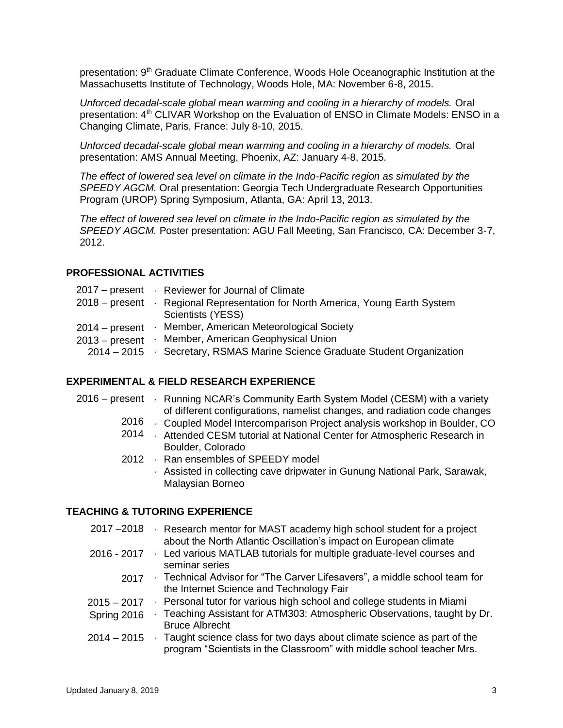presentation: 9th Graduate Climate Conference, Woods Hole Oceanographic Institution at the Massachusetts Institute of Technology, Woods Hole, MA: November 6-8, 2015.

*Unforced decadal-scale global mean warming and cooling in a hierarchy of models.* Oral presentation: 4<sup>th</sup> CLIVAR Workshop on the Evaluation of ENSO in Climate Models: ENSO in a Changing Climate, Paris, France: July 8-10, 2015.

*Unforced decadal-scale global mean warming and cooling in a hierarchy of models.* Oral presentation: AMS Annual Meeting, Phoenix, AZ: January 4-8, 2015.

*The effect of lowered sea level on climate in the Indo-Pacific region as simulated by the SPEEDY AGCM.* Oral presentation: Georgia Tech Undergraduate Research Opportunities Program (UROP) Spring Symposium, Atlanta, GA: April 13, 2013.

*The effect of lowered sea level on climate in the Indo-Pacific region as simulated by the SPEEDY AGCM.* Poster presentation: AGU Fall Meeting, San Francisco, CA: December 3-7, 2012.

# **PROFESSIONAL ACTIVITIES**

| $2017 - present$ |           | Reviewer for Journal of Climate                                                    |
|------------------|-----------|------------------------------------------------------------------------------------|
| $2018 - present$ |           | Regional Representation for North America, Young Earth System<br>Scientists (YESS) |
| $2014 - present$ | $\bullet$ | Member, American Meteorological Society                                            |
| $2013 - present$ |           | Member, American Geophysical Union                                                 |
| 2014 – 2015      |           | - Secretary, RSMAS Marine Science Graduate Student Organization                    |

## **EXPERIMENTAL & FIELD RESEARCH EXPERIENCE**

- 2016 present Alunning NCAR's Community Earth System Model (CESM) with a variety of different configurations, namelist changes, and radiation code changes
	- 2016 Coupled Model Intercomparison Project analysis workshop in Boulder, CO
	- 2014 Attended CESM tutorial at National Center for Atmospheric Research in Boulder, Colorado
	- 2012 Ran ensembles of SPEEDY model
		- Assisted in collecting cave dripwater in Gunung National Park, Sarawak, Malaysian Borneo

## **TEACHING & TUTORING EXPERIENCE**

| $2017 - 2018$ | Research mentor for MAST academy high school student for a project<br>$\bullet$<br>about the North Atlantic Oscillation's impact on European climate         |
|---------------|--------------------------------------------------------------------------------------------------------------------------------------------------------------|
| 2016 - 2017   | Led various MATLAB tutorials for multiple graduate-level courses and<br>seminar series                                                                       |
| 2017          | Frechnical Advisor for "The Carver Lifesavers", a middle school team for<br>the Internet Science and Technology Fair                                         |
| $2015 - 2017$ | Personal tutor for various high school and college students in Miami<br>$\bullet$                                                                            |
| Spring 2016   | · Teaching Assistant for ATM303: Atmospheric Observations, taught by Dr.<br><b>Bruce Albrecht</b>                                                            |
| $2014 - 2015$ | Taught science class for two days about climate science as part of the<br>$\bullet$<br>program "Scientists in the Classroom" with middle school teacher Mrs. |